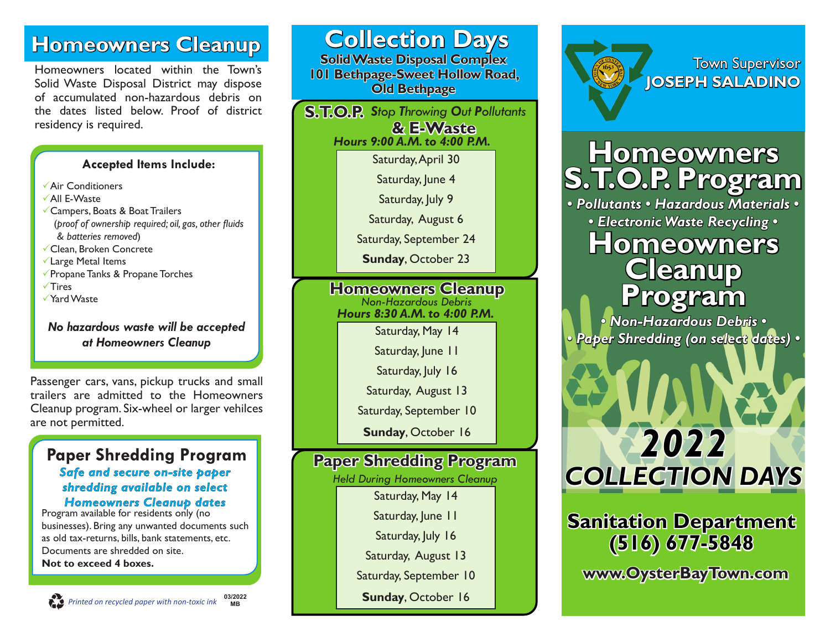## **Homeowners Cleanup**

Homeowners located within the Town's Solid Waste Disposal District may dispose of accumulated non-hazardous debris on the dates listed below. Proof of district residency is required.

#### **Accepted Items Include:**

- $\sqrt{\mathsf{Air}}$  Conditioners
- $\sqrt{A}$ II E-Waste
- $\checkmark$  Campers, Boats & Boat Trailers (*proof of ownership required; oil, gas, other fluids & batteries removed*)
- $\checkmark$  Clean, Broken Concrete
- $\checkmark$  Large Metal Items
- $\sqrt{\ }$ Propane Tanks & Propane Torches
- $\sqrt{T}$ ires
- √Yard Waste

#### *No hazardous waste will be accepted at Homeowners Cleanup*

Passenger cars, vans, pickup trucks and small trailers are admitted to the Homeowners Cleanup program. Six-wheel or larger vehilces are not permitted.

#### **Paper Shredding Program** *Safe and secure on-site paper shredding available on select Homeowners Cleanup dates*

Program available for residents only (no businesses). Bring any unwanted documents such as old tax-returns, bills, bank statements, etc. Documents are shredded on site. **Not to exceed 4 boxes.**

| <b>Collection Days</b><br><b>Solid Waste Disposal Complex</b><br><b>101 Bethpage-Sweet Hollow Road,</b><br><b>Old Bethpage</b> |                                       |  |
|--------------------------------------------------------------------------------------------------------------------------------|---------------------------------------|--|
| S.T.O.P. Stop Throwing Out Pollutants<br>& E-Waste<br>Hours 9:00 A.M. to 4:00 P.M.                                             |                                       |  |
|                                                                                                                                | Saturday, April 30                    |  |
|                                                                                                                                | Saturday, June 4                      |  |
|                                                                                                                                | Saturday, July 9                      |  |
|                                                                                                                                | Saturday, August 6                    |  |
|                                                                                                                                | Saturday, September 24                |  |
|                                                                                                                                | <b>Sunday, October 23</b>             |  |
| <b>Homeowners Cleanup</b>                                                                                                      |                                       |  |
| <b>Non-Hazardous Debris</b><br>Hours 8:30 A.M. to 4:00 P.M.                                                                    |                                       |  |
|                                                                                                                                | Saturday, May 14                      |  |
|                                                                                                                                | Saturday, June II                     |  |
|                                                                                                                                | Saturday, July 16                     |  |
|                                                                                                                                | Saturday, August 13                   |  |
|                                                                                                                                | Saturday, September 10                |  |
|                                                                                                                                | <b>Sunday, October 16</b>             |  |
| <b>Paper Shredding Program</b>                                                                                                 |                                       |  |
|                                                                                                                                | <b>Held During Homeowners Cleanup</b> |  |
|                                                                                                                                | Saturday, May 14                      |  |
|                                                                                                                                | Saturday, June II                     |  |
|                                                                                                                                | Saturday, July 16                     |  |
|                                                                                                                                | Saturday, August 13                   |  |
|                                                                                                                                | Saturday, September 10                |  |
|                                                                                                                                | <b>Sunday, October 16</b>             |  |
|                                                                                                                                |                                       |  |



Town Supervisor **JOSEPH SALADINO**

# **Homeowners S.T.O.P. Program**

*• Pollutants • Hazardous Materials • • Electronic Waste Recycling •*

## **Homeowners Cleanup Program**

*• Non-Hazardous Debris • • Paper Shredding (on select dates) •*



## **Sanitation Department (516) 677-5848**

**www.OysterBayTown.com**